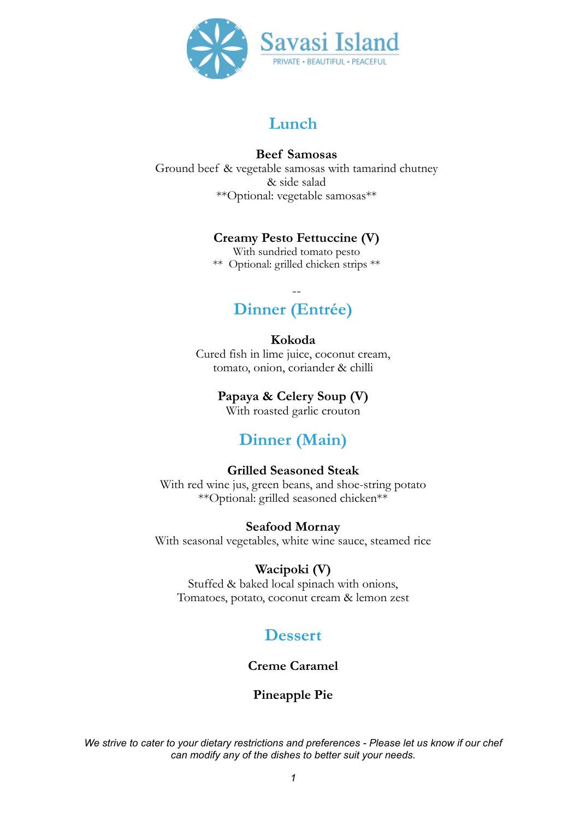

#### **Beef Samosas**

Ground beef & vegetable samosas with tamarind chutney & side salad \*\*Optional: vegetable samosas\*\*

### **Creamy Pesto Fettuccine (V)**

With sundried tomato pesto \*\* Optional: grilled chicken strips \*\*

## -- **Dinner (Entrée)**

#### **Kokoda**

Cured fish in lime juice, coconut cream, tomato, onion, coriander & chilli

**Papaya & Celery Soup (V)** 

With roasted garlic crouton

## **Dinner (Main)**

### **Grilled Seasoned Steak**

With red wine jus, green beans, and shoe-string potato \*\*Optional: grilled seasoned chicken\*\*

#### **Seafood Mornay**

With seasonal vegetables, white wine sauce, steamed rice

#### **Wacipoki (V)**

Stuffed & baked local spinach with onions, Tomatoes, potato, coconut cream & lemon zest

## **Dessert**

### **Creme Caramel**

### **Pineapple Pie**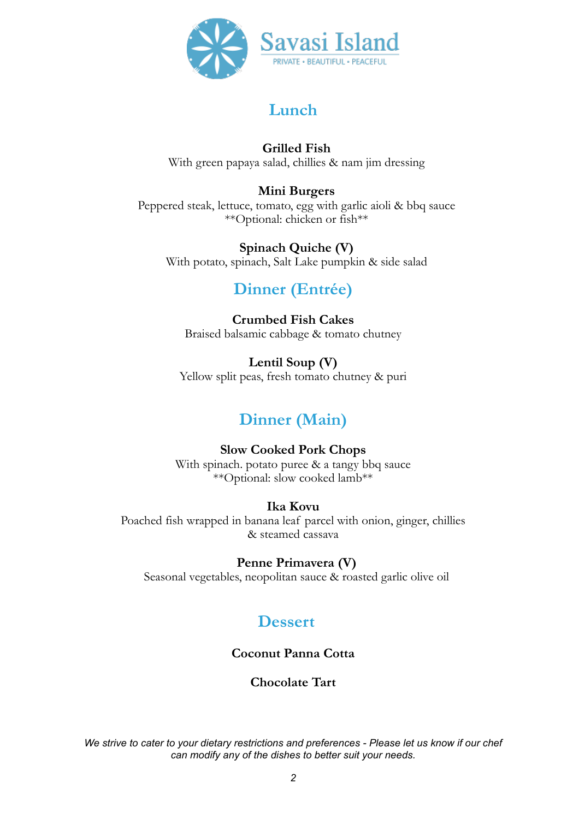

### **Grilled Fish**

With green papaya salad, chillies & nam jim dressing

### **Mini Burgers**

Peppered steak, lettuce, tomato, egg with garlic aioli & bbq sauce \*\*Optional: chicken or fish\*\*

### **Spinach Quiche (V)**

With potato, spinach, Salt Lake pumpkin & side salad

## **Dinner (Entrée)**

### **Crumbed Fish Cakes** Braised balsamic cabbage & tomato chutney

**Lentil Soup (V)**  Yellow split peas, fresh tomato chutney & puri

# **Dinner (Main)**

#### **Slow Cooked Pork Chops**  With spinach. potato puree & a tangy bbq sauce \*\*Optional: slow cooked lamb\*\*

### **Ika Kovu**

Poached fish wrapped in banana leaf parcel with onion, ginger, chillies & steamed cassava

**Penne Primavera (V)** 

Seasonal vegetables, neopolitan sauce & roasted garlic olive oil

## **Dessert**

**Coconut Panna Cotta**

### **Chocolate Tart**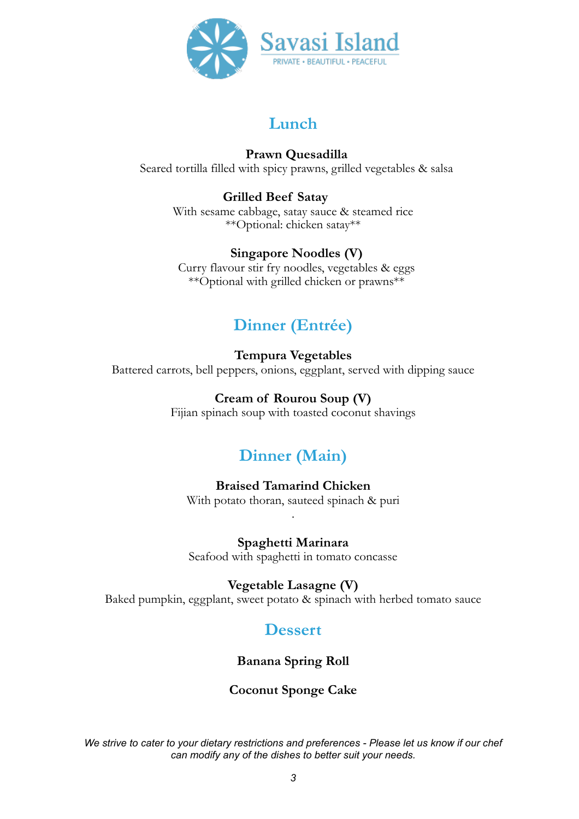

### **Prawn Quesadilla**

Seared tortilla filled with spicy prawns, grilled vegetables & salsa

### **Grilled Beef Satay**

With sesame cabbage, satay sauce & steamed rice \*\*Optional: chicken satay\*\*

### **Singapore Noodles (V)**

Curry flavour stir fry noodles, vegetables & eggs \*\*Optional with grilled chicken or prawns\*\*

# **Dinner (Entrée)**

### **Tempura Vegetables**

Battered carrots, bell peppers, onions, eggplant, served with dipping sauce

### **Cream of Rourou Soup (V)**

Fijian spinach soup with toasted coconut shavings

## **Dinner (Main)**

### **Braised Tamarind Chicken**

With potato thoran, sauteed spinach & puri .

**Spaghetti Marinara**  Seafood with spaghetti in tomato concasse

**Vegetable Lasagne (V)** 

Baked pumpkin, eggplant, sweet potato & spinach with herbed tomato sauce

## **Dessert**

**Banana Spring Roll**

### **Coconut Sponge Cake**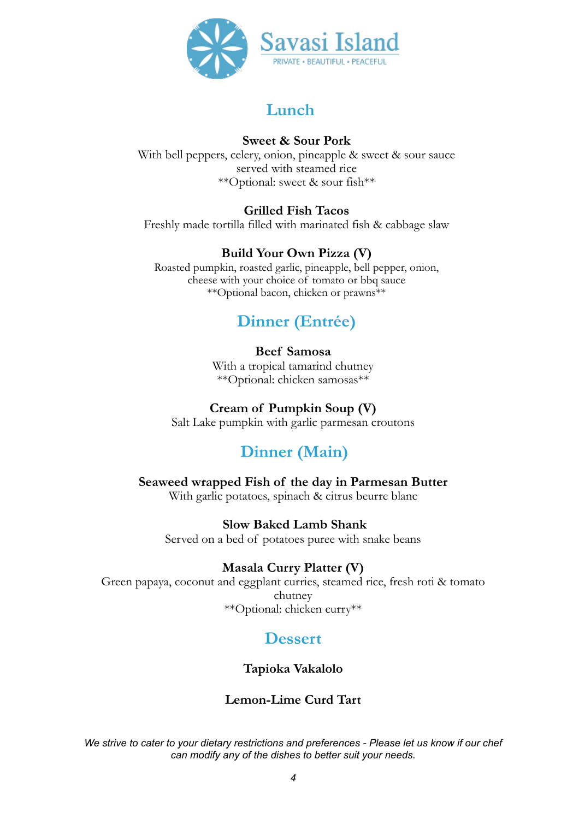

### **Sweet & Sour Pork**

With bell peppers, celery, onion, pineapple & sweet & sour sauce served with steamed rice \*\*Optional: sweet & sour fish\*\*

### **Grilled Fish Tacos**

Freshly made tortilla filled with marinated fish & cabbage slaw

### **Build Your Own Pizza (V)**

Roasted pumpkin, roasted garlic, pineapple, bell pepper, onion, cheese with your choice of tomato or bbq sauce \*\*Optional bacon, chicken or prawns\*\*

## **Dinner (Entrée)**

### **Beef Samosa**

With a tropical tamarind chutney \*\*Optional: chicken samosas\*\*

### **Cream of Pumpkin Soup (V)**

Salt Lake pumpkin with garlic parmesan croutons

## **Dinner (Main)**

**Seaweed wrapped Fish of the day in Parmesan Butter**  With garlic potatoes, spinach & citrus beurre blanc

### **Slow Baked Lamb Shank**

Served on a bed of potatoes puree with snake beans

### **Masala Curry Platter (V)**

Green papaya, coconut and eggplant curries, steamed rice, fresh roti & tomato chutney \*\*Optional: chicken curry\*\*

## **Dessert**

### **Tapioka Vakalolo**

### **Lemon-Lime Curd Tart**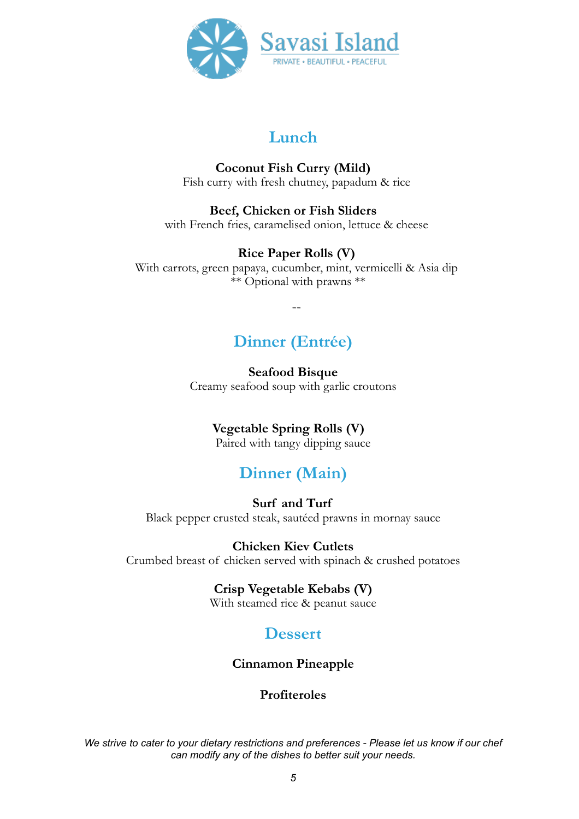

#### **Coconut Fish Curry (Mild)**  Fish curry with fresh chutney, papadum & rice

**Beef, Chicken or Fish Sliders**  with French fries, caramelised onion, lettuce & cheese

### **Rice Paper Rolls (V)**

With carrots, green papaya, cucumber, mint, vermicelli & Asia dip \*\* Optional with prawns \*\*

--

# **Dinner (Entrée)**

**Seafood Bisque** Creamy seafood soup with garlic croutons

## **Vegetable Spring Rolls (V)**

Paired with tangy dipping sauce

# **Dinner (Main)**

**Surf and Turf**  Black pepper crusted steak, sautéed prawns in mornay sauce

**Chicken Kiev Cutlets** Crumbed breast of chicken served with spinach & crushed potatoes

#### **Crisp Vegetable Kebabs (V)**  With steamed rice & peanut sauce

## **Dessert**

## **Cinnamon Pineapple**

### **Profiteroles**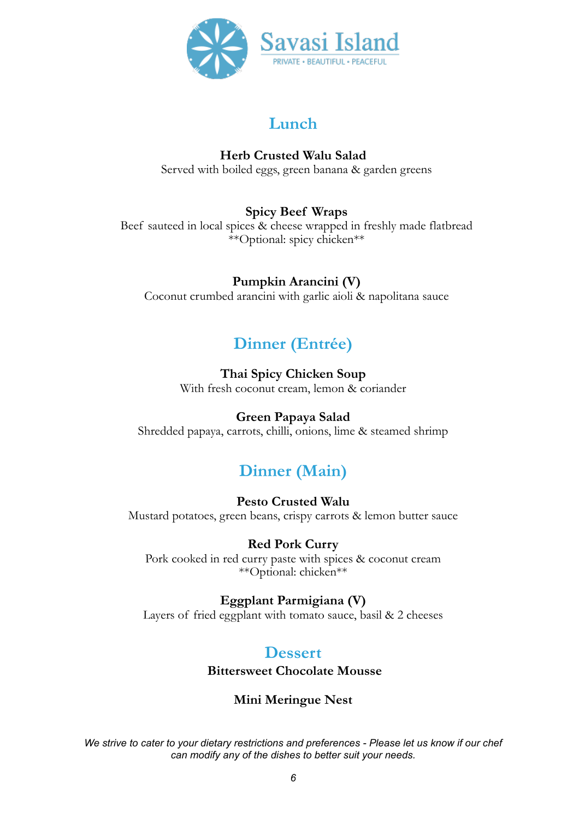

**Herb Crusted Walu Salad**  Served with boiled eggs, green banana & garden greens

### **Spicy Beef Wraps**

Beef sauteed in local spices & cheese wrapped in freshly made flatbread \*\*Optional: spicy chicken\*\*

### **Pumpkin Arancini (V)**

Coconut crumbed arancini with garlic aioli & napolitana sauce

# **Dinner (Entrée)**

### **Thai Spicy Chicken Soup**

With fresh coconut cream, lemon & coriander

### **Green Papaya Salad**

Shredded papaya, carrots, chilli, onions, lime & steamed shrimp

# **Dinner (Main)**

### **Pesto Crusted Walu**

Mustard potatoes, green beans, crispy carrots & lemon butter sauce

### **Red Pork Curry**

Pork cooked in red curry paste with spices & coconut cream \*\*Optional: chicken\*\*

### **Eggplant Parmigiana (V)**

Layers of fried eggplant with tomato sauce, basil & 2 cheeses

## **Dessert**

**Bittersweet Chocolate Mousse**

### **Mini Meringue Nest**